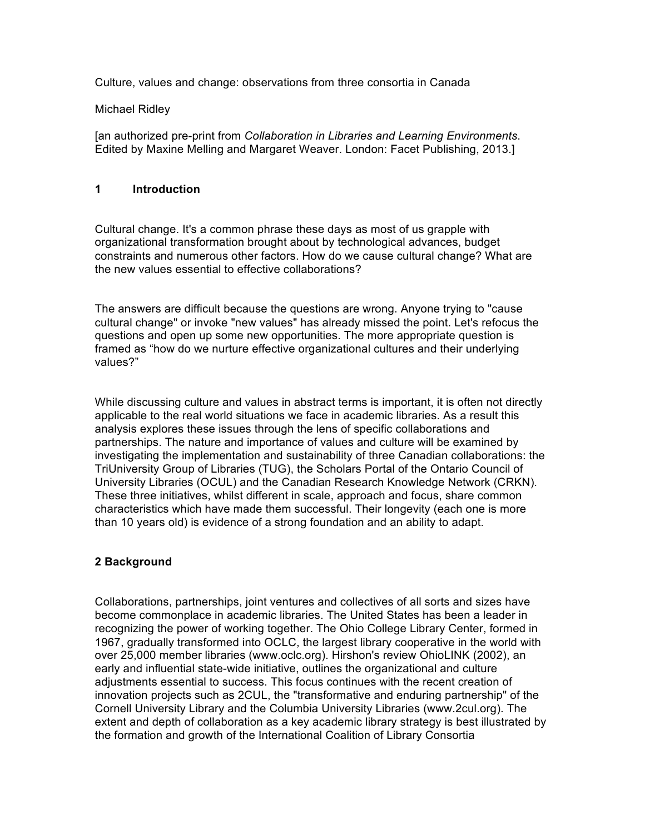Culture, values and change: observations from three consortia in Canada

#### Michael Ridley

[an authorized pre-print from *Collaboration in Libraries and Learning Environments*. Edited by Maxine Melling and Margaret Weaver. London: Facet Publishing, 2013.]

#### **1 Introduction**

Cultural change. It's a common phrase these days as most of us grapple with organizational transformation brought about by technological advances, budget constraints and numerous other factors. How do we cause cultural change? What are the new values essential to effective collaborations?

The answers are difficult because the questions are wrong. Anyone trying to "cause cultural change" or invoke "new values" has already missed the point. Let's refocus the questions and open up some new opportunities. The more appropriate question is framed as "how do we nurture effective organizational cultures and their underlying values?"

While discussing culture and values in abstract terms is important, it is often not directly applicable to the real world situations we face in academic libraries. As a result this analysis explores these issues through the lens of specific collaborations and partnerships. The nature and importance of values and culture will be examined by investigating the implementation and sustainability of three Canadian collaborations: the TriUniversity Group of Libraries (TUG), the Scholars Portal of the Ontario Council of University Libraries (OCUL) and the Canadian Research Knowledge Network (CRKN). These three initiatives, whilst different in scale, approach and focus, share common characteristics which have made them successful. Their longevity (each one is more than 10 years old) is evidence of a strong foundation and an ability to adapt.

### **2 Background**

Collaborations, partnerships, joint ventures and collectives of all sorts and sizes have become commonplace in academic libraries. The United States has been a leader in recognizing the power of working together. The Ohio College Library Center, formed in 1967, gradually transformed into OCLC, the largest library cooperative in the world with over 25,000 member libraries (www.oclc.org). Hirshon's review OhioLINK (2002), an early and influential state-wide initiative, outlines the organizational and culture adjustments essential to success. This focus continues with the recent creation of innovation projects such as 2CUL, the "transformative and enduring partnership" of the Cornell University Library and the Columbia University Libraries (www.2cul.org). The extent and depth of collaboration as a key academic library strategy is best illustrated by the formation and growth of the International Coalition of Library Consortia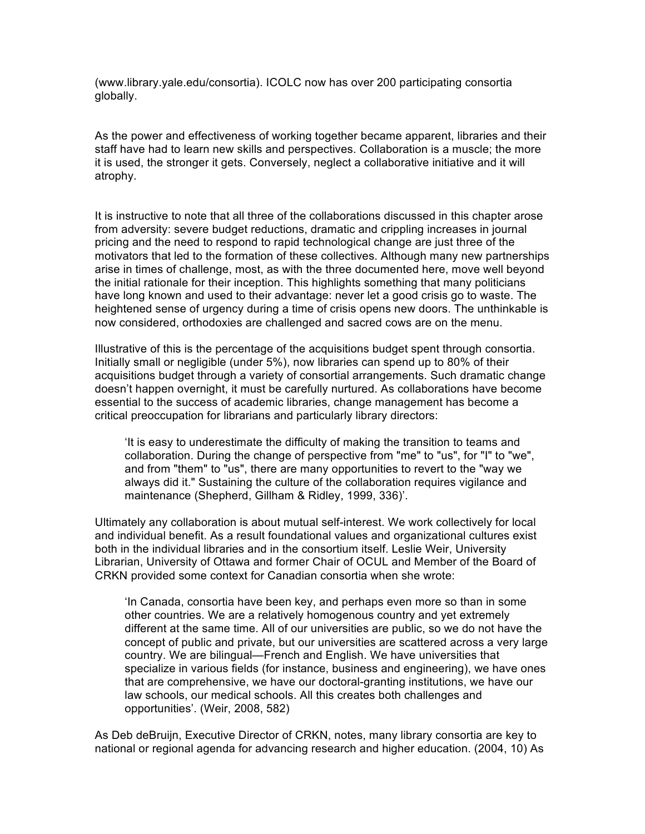(www.library.yale.edu/consortia). ICOLC now has over 200 participating consortia globally.

As the power and effectiveness of working together became apparent, libraries and their staff have had to learn new skills and perspectives. Collaboration is a muscle; the more it is used, the stronger it gets. Conversely, neglect a collaborative initiative and it will atrophy.

It is instructive to note that all three of the collaborations discussed in this chapter arose from adversity: severe budget reductions, dramatic and crippling increases in journal pricing and the need to respond to rapid technological change are just three of the motivators that led to the formation of these collectives. Although many new partnerships arise in times of challenge, most, as with the three documented here, move well beyond the initial rationale for their inception. This highlights something that many politicians have long known and used to their advantage: never let a good crisis go to waste. The heightened sense of urgency during a time of crisis opens new doors. The unthinkable is now considered, orthodoxies are challenged and sacred cows are on the menu.

Illustrative of this is the percentage of the acquisitions budget spent through consortia. Initially small or negligible (under 5%), now libraries can spend up to 80% of their acquisitions budget through a variety of consortial arrangements. Such dramatic change doesn't happen overnight, it must be carefully nurtured. As collaborations have become essential to the success of academic libraries, change management has become a critical preoccupation for librarians and particularly library directors:

'It is easy to underestimate the difficulty of making the transition to teams and collaboration. During the change of perspective from "me" to "us", for "I" to "we", and from "them" to "us", there are many opportunities to revert to the "way we always did it." Sustaining the culture of the collaboration requires vigilance and maintenance (Shepherd, Gillham & Ridley, 1999, 336)'.

Ultimately any collaboration is about mutual self-interest. We work collectively for local and individual benefit. As a result foundational values and organizational cultures exist both in the individual libraries and in the consortium itself. Leslie Weir, University Librarian, University of Ottawa and former Chair of OCUL and Member of the Board of CRKN provided some context for Canadian consortia when she wrote:

'In Canada, consortia have been key, and perhaps even more so than in some other countries. We are a relatively homogenous country and yet extremely different at the same time. All of our universities are public, so we do not have the concept of public and private, but our universities are scattered across a very large country. We are bilingual—French and English. We have universities that specialize in various fields (for instance, business and engineering), we have ones that are comprehensive, we have our doctoral-granting institutions, we have our law schools, our medical schools. All this creates both challenges and opportunities'. (Weir, 2008, 582)

As Deb deBruijn, Executive Director of CRKN, notes, many library consortia are key to national or regional agenda for advancing research and higher education. (2004, 10) As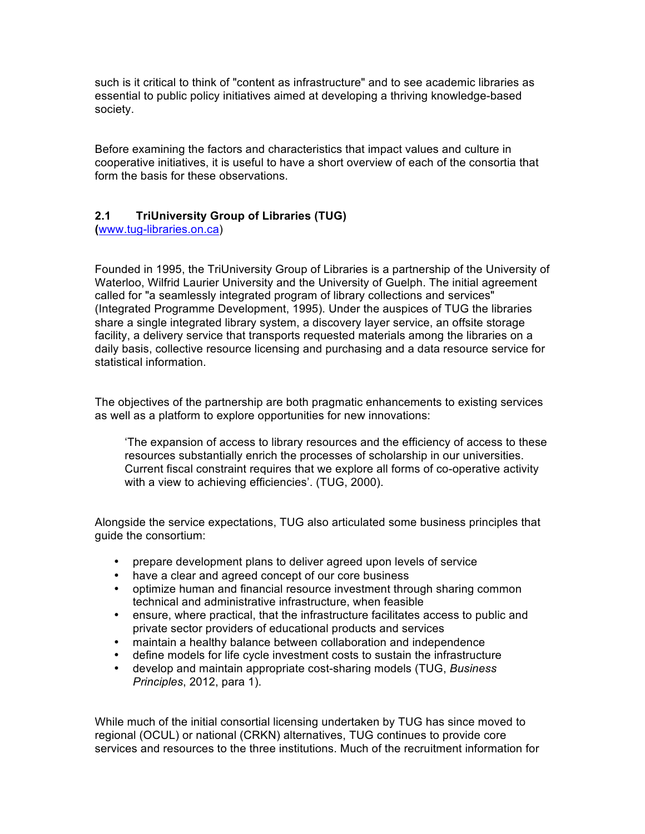such is it critical to think of "content as infrastructure" and to see academic libraries as essential to public policy initiatives aimed at developing a thriving knowledge-based society.

Before examining the factors and characteristics that impact values and culture in cooperative initiatives, it is useful to have a short overview of each of the consortia that form the basis for these observations.

# **2.1 TriUniversity Group of Libraries (TUG)**

**(**www.tug-libraries.on.ca)

Founded in 1995, the TriUniversity Group of Libraries is a partnership of the University of Waterloo, Wilfrid Laurier University and the University of Guelph. The initial agreement called for "a seamlessly integrated program of library collections and services" (Integrated Programme Development, 1995). Under the auspices of TUG the libraries share a single integrated library system, a discovery layer service, an offsite storage facility, a delivery service that transports requested materials among the libraries on a daily basis, collective resource licensing and purchasing and a data resource service for statistical information.

The objectives of the partnership are both pragmatic enhancements to existing services as well as a platform to explore opportunities for new innovations:

'The expansion of access to library resources and the efficiency of access to these resources substantially enrich the processes of scholarship in our universities. Current fiscal constraint requires that we explore all forms of co-operative activity with a view to achieving efficiencies'. (TUG, 2000).

Alongside the service expectations, TUG also articulated some business principles that guide the consortium:

- prepare development plans to deliver agreed upon levels of service
- have a clear and agreed concept of our core business
- optimize human and financial resource investment through sharing common technical and administrative infrastructure, when feasible
- ensure, where practical, that the infrastructure facilitates access to public and private sector providers of educational products and services
- maintain a healthy balance between collaboration and independence
- define models for life cycle investment costs to sustain the infrastructure
- develop and maintain appropriate cost-sharing models (TUG, *Business Principles*, 2012, para 1).

While much of the initial consortial licensing undertaken by TUG has since moved to regional (OCUL) or national (CRKN) alternatives, TUG continues to provide core services and resources to the three institutions. Much of the recruitment information for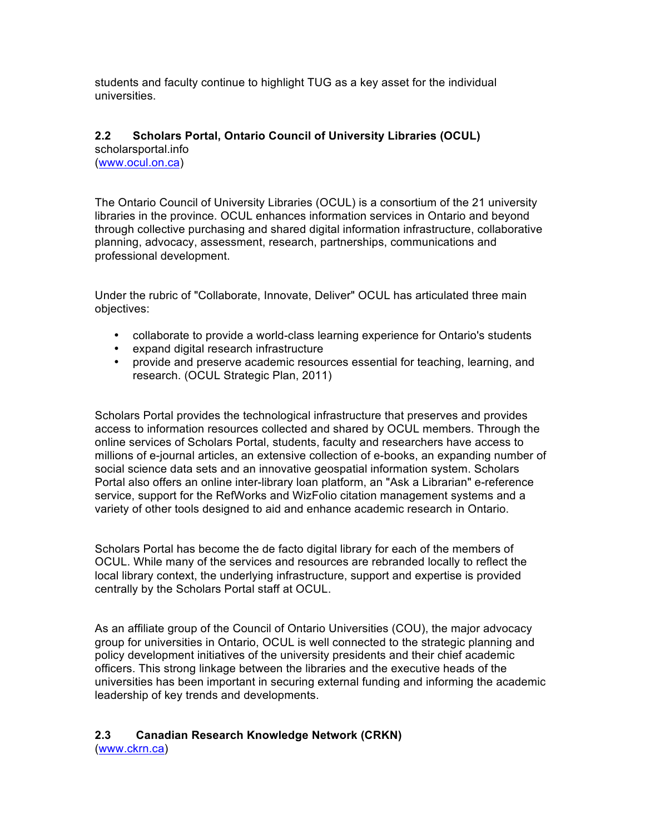students and faculty continue to highlight TUG as a key asset for the individual universities.

# **2.2 Scholars Portal, Ontario Council of University Libraries (OCUL)**

scholarsportal.info (www.ocul.on.ca)

The Ontario Council of University Libraries (OCUL) is a consortium of the 21 university libraries in the province. OCUL enhances information services in Ontario and beyond through collective purchasing and shared digital information infrastructure, collaborative planning, advocacy, assessment, research, partnerships, communications and professional development.

Under the rubric of "Collaborate, Innovate, Deliver" OCUL has articulated three main objectives:

- collaborate to provide a world-class learning experience for Ontario's students
- expand digital research infrastructure
- provide and preserve academic resources essential for teaching, learning, and research. (OCUL Strategic Plan, 2011)

Scholars Portal provides the technological infrastructure that preserves and provides access to information resources collected and shared by OCUL members. Through the online services of Scholars Portal, students, faculty and researchers have access to millions of e-journal articles, an extensive collection of e-books, an expanding number of social science data sets and an innovative geospatial information system. Scholars Portal also offers an online inter-library loan platform, an "Ask a Librarian" e-reference service, support for the RefWorks and WizFolio citation management systems and a variety of other tools designed to aid and enhance academic research in Ontario.

Scholars Portal has become the de facto digital library for each of the members of OCUL. While many of the services and resources are rebranded locally to reflect the local library context, the underlying infrastructure, support and expertise is provided centrally by the Scholars Portal staff at OCUL.

As an affiliate group of the Council of Ontario Universities (COU), the major advocacy group for universities in Ontario, OCUL is well connected to the strategic planning and policy development initiatives of the university presidents and their chief academic officers. This strong linkage between the libraries and the executive heads of the universities has been important in securing external funding and informing the academic leadership of key trends and developments.

#### **2.3 Canadian Research Knowledge Network (CRKN)** (www.ckrn.ca)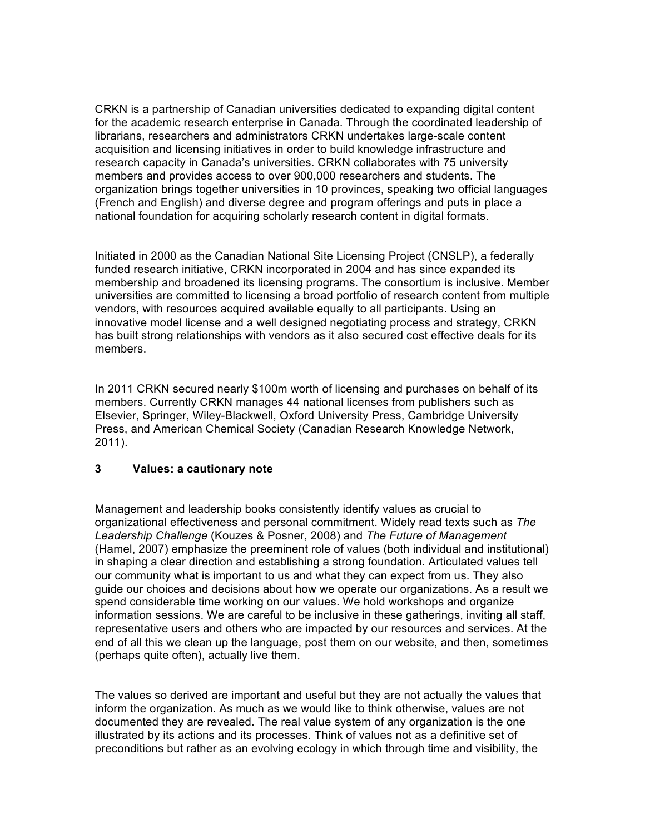CRKN is a partnership of Canadian universities dedicated to expanding digital content for the academic research enterprise in Canada. Through the coordinated leadership of librarians, researchers and administrators CRKN undertakes large-scale content acquisition and licensing initiatives in order to build knowledge infrastructure and research capacity in Canada's universities. CRKN collaborates with 75 university members and provides access to over 900,000 researchers and students. The organization brings together universities in 10 provinces, speaking two official languages (French and English) and diverse degree and program offerings and puts in place a national foundation for acquiring scholarly research content in digital formats.

Initiated in 2000 as the Canadian National Site Licensing Project (CNSLP), a federally funded research initiative, CRKN incorporated in 2004 and has since expanded its membership and broadened its licensing programs. The consortium is inclusive. Member universities are committed to licensing a broad portfolio of research content from multiple vendors, with resources acquired available equally to all participants. Using an innovative model license and a well designed negotiating process and strategy, CRKN has built strong relationships with vendors as it also secured cost effective deals for its members.

In 2011 CRKN secured nearly \$100m worth of licensing and purchases on behalf of its members. Currently CRKN manages 44 national licenses from publishers such as Elsevier, Springer, Wiley-Blackwell, Oxford University Press, Cambridge University Press, and American Chemical Society (Canadian Research Knowledge Network, 2011).

### **3 Values: a cautionary note**

Management and leadership books consistently identify values as crucial to organizational effectiveness and personal commitment. Widely read texts such as *The Leadership Challenge* (Kouzes & Posner, 2008) and *The Future of Management* (Hamel, 2007) emphasize the preeminent role of values (both individual and institutional) in shaping a clear direction and establishing a strong foundation. Articulated values tell our community what is important to us and what they can expect from us. They also guide our choices and decisions about how we operate our organizations. As a result we spend considerable time working on our values. We hold workshops and organize information sessions. We are careful to be inclusive in these gatherings, inviting all staff, representative users and others who are impacted by our resources and services. At the end of all this we clean up the language, post them on our website, and then, sometimes (perhaps quite often), actually live them.

The values so derived are important and useful but they are not actually the values that inform the organization. As much as we would like to think otherwise, values are not documented they are revealed. The real value system of any organization is the one illustrated by its actions and its processes. Think of values not as a definitive set of preconditions but rather as an evolving ecology in which through time and visibility, the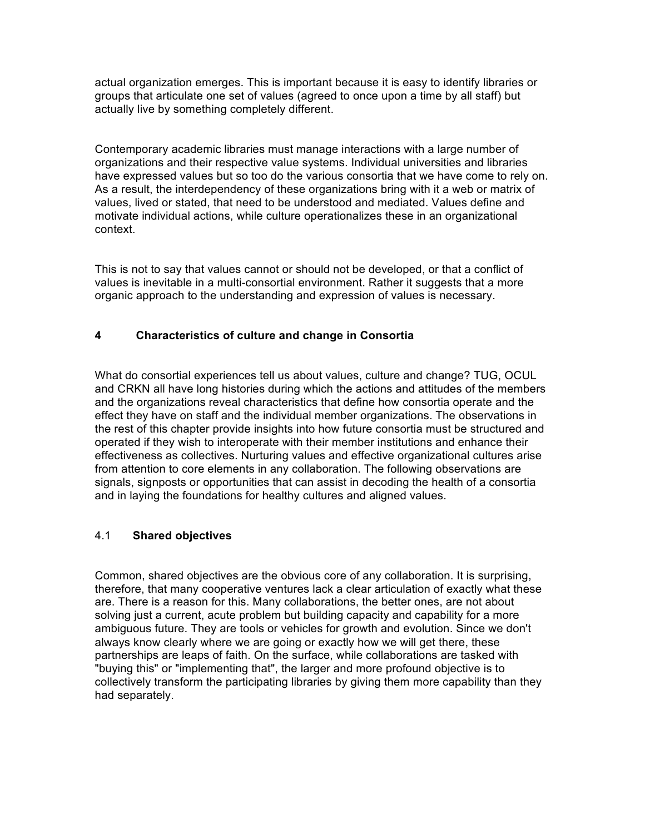actual organization emerges. This is important because it is easy to identify libraries or groups that articulate one set of values (agreed to once upon a time by all staff) but actually live by something completely different.

Contemporary academic libraries must manage interactions with a large number of organizations and their respective value systems. Individual universities and libraries have expressed values but so too do the various consortia that we have come to rely on. As a result, the interdependency of these organizations bring with it a web or matrix of values, lived or stated, that need to be understood and mediated. Values define and motivate individual actions, while culture operationalizes these in an organizational context.

This is not to say that values cannot or should not be developed, or that a conflict of values is inevitable in a multi-consortial environment. Rather it suggests that a more organic approach to the understanding and expression of values is necessary.

# **4 Characteristics of culture and change in Consortia**

What do consortial experiences tell us about values, culture and change? TUG, OCUL and CRKN all have long histories during which the actions and attitudes of the members and the organizations reveal characteristics that define how consortia operate and the effect they have on staff and the individual member organizations. The observations in the rest of this chapter provide insights into how future consortia must be structured and operated if they wish to interoperate with their member institutions and enhance their effectiveness as collectives. Nurturing values and effective organizational cultures arise from attention to core elements in any collaboration. The following observations are signals, signposts or opportunities that can assist in decoding the health of a consortia and in laying the foundations for healthy cultures and aligned values.

# 4.1 **Shared objectives**

Common, shared objectives are the obvious core of any collaboration. It is surprising, therefore, that many cooperative ventures lack a clear articulation of exactly what these are. There is a reason for this. Many collaborations, the better ones, are not about solving just a current, acute problem but building capacity and capability for a more ambiguous future. They are tools or vehicles for growth and evolution. Since we don't always know clearly where we are going or exactly how we will get there, these partnerships are leaps of faith. On the surface, while collaborations are tasked with "buying this" or "implementing that", the larger and more profound objective is to collectively transform the participating libraries by giving them more capability than they had separately.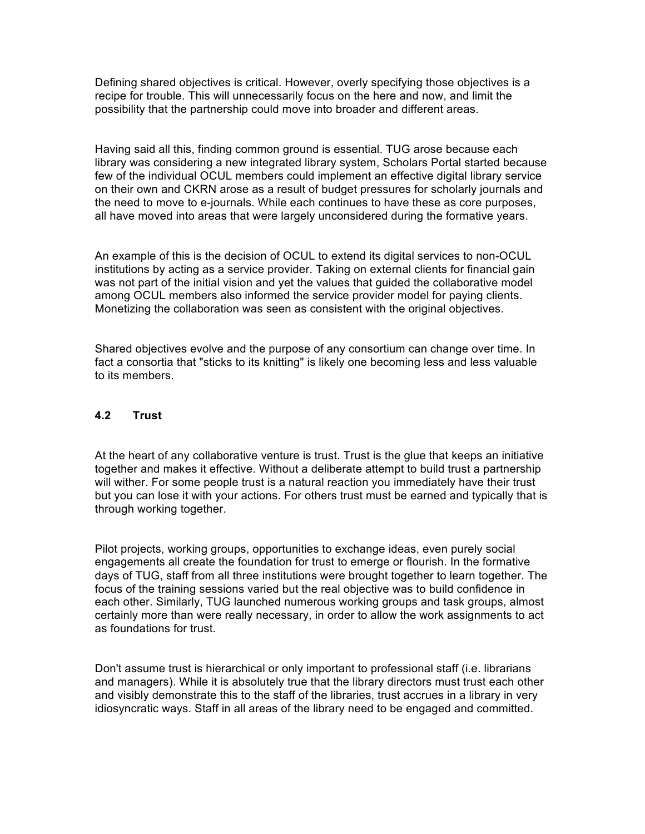Defining shared objectives is critical. However, overly specifying those objectives is a recipe for trouble. This will unnecessarily focus on the here and now, and limit the possibility that the partnership could move into broader and different areas.

Having said all this, finding common ground is essential. TUG arose because each library was considering a new integrated library system, Scholars Portal started because few of the individual OCUL members could implement an effective digital library service on their own and CKRN arose as a result of budget pressures for scholarly journals and the need to move to e-journals. While each continues to have these as core purposes, all have moved into areas that were largely unconsidered during the formative years.

An example of this is the decision of OCUL to extend its digital services to non-OCUL institutions by acting as a service provider. Taking on external clients for financial gain was not part of the initial vision and yet the values that guided the collaborative model among OCUL members also informed the service provider model for paying clients. Monetizing the collaboration was seen as consistent with the original objectives.

Shared objectives evolve and the purpose of any consortium can change over time. In fact a consortia that "sticks to its knitting" is likely one becoming less and less valuable to its members.

#### **4.2 Trust**

At the heart of any collaborative venture is trust. Trust is the glue that keeps an initiative together and makes it effective. Without a deliberate attempt to build trust a partnership will wither. For some people trust is a natural reaction you immediately have their trust but you can lose it with your actions. For others trust must be earned and typically that is through working together.

Pilot projects, working groups, opportunities to exchange ideas, even purely social engagements all create the foundation for trust to emerge or flourish. In the formative days of TUG, staff from all three institutions were brought together to learn together. The focus of the training sessions varied but the real objective was to build confidence in each other. Similarly, TUG launched numerous working groups and task groups, almost certainly more than were really necessary, in order to allow the work assignments to act as foundations for trust.

Don't assume trust is hierarchical or only important to professional staff (i.e. librarians and managers). While it is absolutely true that the library directors must trust each other and visibly demonstrate this to the staff of the libraries, trust accrues in a library in very idiosyncratic ways. Staff in all areas of the library need to be engaged and committed.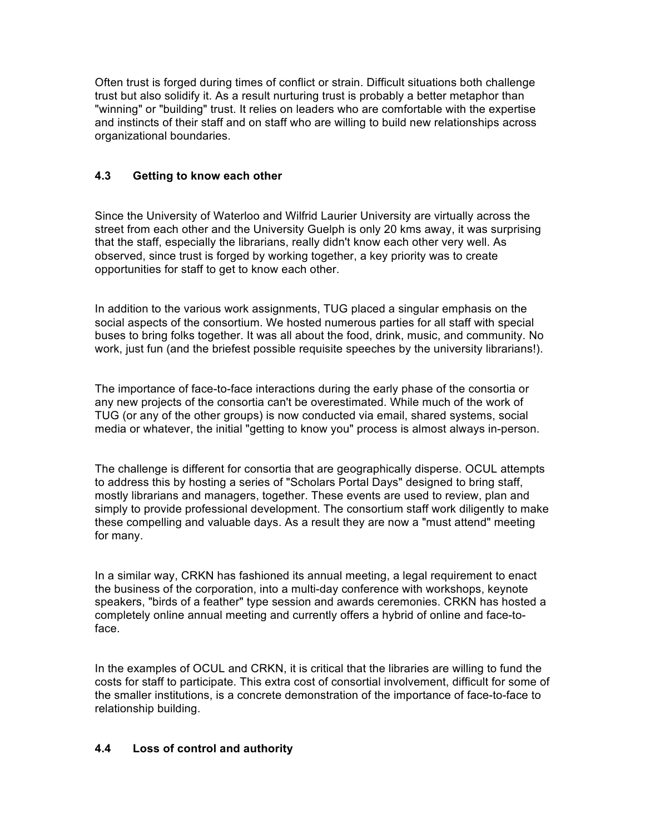Often trust is forged during times of conflict or strain. Difficult situations both challenge trust but also solidify it. As a result nurturing trust is probably a better metaphor than "winning" or "building" trust. It relies on leaders who are comfortable with the expertise and instincts of their staff and on staff who are willing to build new relationships across organizational boundaries.

# **4.3 Getting to know each other**

Since the University of Waterloo and Wilfrid Laurier University are virtually across the street from each other and the University Guelph is only 20 kms away, it was surprising that the staff, especially the librarians, really didn't know each other very well. As observed, since trust is forged by working together, a key priority was to create opportunities for staff to get to know each other.

In addition to the various work assignments, TUG placed a singular emphasis on the social aspects of the consortium. We hosted numerous parties for all staff with special buses to bring folks together. It was all about the food, drink, music, and community. No work, just fun (and the briefest possible requisite speeches by the university librarians!).

The importance of face-to-face interactions during the early phase of the consortia or any new projects of the consortia can't be overestimated. While much of the work of TUG (or any of the other groups) is now conducted via email, shared systems, social media or whatever, the initial "getting to know you" process is almost always in-person.

The challenge is different for consortia that are geographically disperse. OCUL attempts to address this by hosting a series of "Scholars Portal Days" designed to bring staff, mostly librarians and managers, together. These events are used to review, plan and simply to provide professional development. The consortium staff work diligently to make these compelling and valuable days. As a result they are now a "must attend" meeting for many.

In a similar way, CRKN has fashioned its annual meeting, a legal requirement to enact the business of the corporation, into a multi-day conference with workshops, keynote speakers, "birds of a feather" type session and awards ceremonies. CRKN has hosted a completely online annual meeting and currently offers a hybrid of online and face-toface.

In the examples of OCUL and CRKN, it is critical that the libraries are willing to fund the costs for staff to participate. This extra cost of consortial involvement, difficult for some of the smaller institutions, is a concrete demonstration of the importance of face-to-face to relationship building.

### **4.4 Loss of control and authority**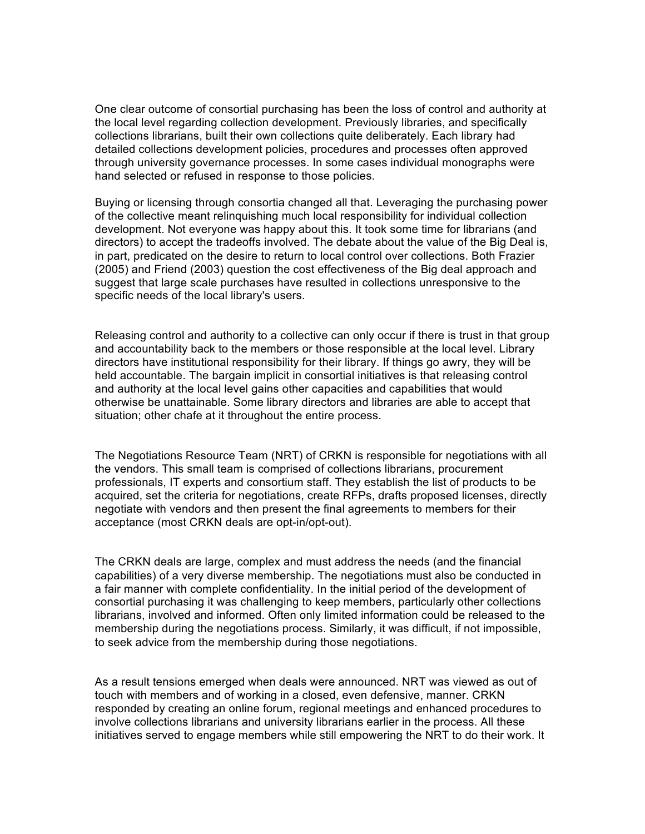One clear outcome of consortial purchasing has been the loss of control and authority at the local level regarding collection development. Previously libraries, and specifically collections librarians, built their own collections quite deliberately. Each library had detailed collections development policies, procedures and processes often approved through university governance processes. In some cases individual monographs were hand selected or refused in response to those policies.

Buying or licensing through consortia changed all that. Leveraging the purchasing power of the collective meant relinquishing much local responsibility for individual collection development. Not everyone was happy about this. It took some time for librarians (and directors) to accept the tradeoffs involved. The debate about the value of the Big Deal is, in part, predicated on the desire to return to local control over collections. Both Frazier (2005) and Friend (2003) question the cost effectiveness of the Big deal approach and suggest that large scale purchases have resulted in collections unresponsive to the specific needs of the local library's users.

Releasing control and authority to a collective can only occur if there is trust in that group and accountability back to the members or those responsible at the local level. Library directors have institutional responsibility for their library. If things go awry, they will be held accountable. The bargain implicit in consortial initiatives is that releasing control and authority at the local level gains other capacities and capabilities that would otherwise be unattainable. Some library directors and libraries are able to accept that situation; other chafe at it throughout the entire process.

The Negotiations Resource Team (NRT) of CRKN is responsible for negotiations with all the vendors. This small team is comprised of collections librarians, procurement professionals, IT experts and consortium staff. They establish the list of products to be acquired, set the criteria for negotiations, create RFPs, drafts proposed licenses, directly negotiate with vendors and then present the final agreements to members for their acceptance (most CRKN deals are opt-in/opt-out).

The CRKN deals are large, complex and must address the needs (and the financial capabilities) of a very diverse membership. The negotiations must also be conducted in a fair manner with complete confidentiality. In the initial period of the development of consortial purchasing it was challenging to keep members, particularly other collections librarians, involved and informed. Often only limited information could be released to the membership during the negotiations process. Similarly, it was difficult, if not impossible, to seek advice from the membership during those negotiations.

As a result tensions emerged when deals were announced. NRT was viewed as out of touch with members and of working in a closed, even defensive, manner. CRKN responded by creating an online forum, regional meetings and enhanced procedures to involve collections librarians and university librarians earlier in the process. All these initiatives served to engage members while still empowering the NRT to do their work. It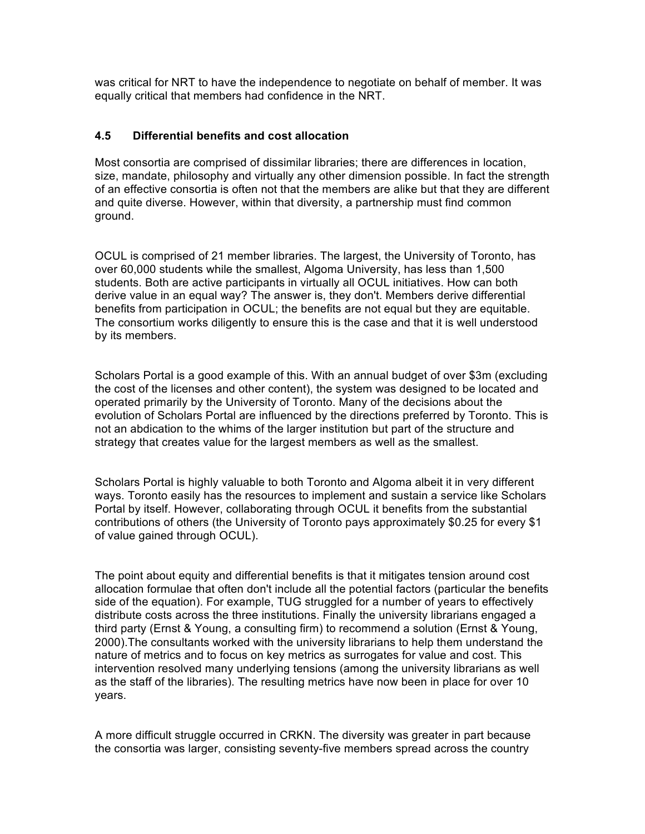was critical for NRT to have the independence to negotiate on behalf of member. It was equally critical that members had confidence in the NRT.

### **4.5 Differential benefits and cost allocation**

Most consortia are comprised of dissimilar libraries; there are differences in location, size, mandate, philosophy and virtually any other dimension possible. In fact the strength of an effective consortia is often not that the members are alike but that they are different and quite diverse. However, within that diversity, a partnership must find common ground.

OCUL is comprised of 21 member libraries. The largest, the University of Toronto, has over 60,000 students while the smallest, Algoma University, has less than 1,500 students. Both are active participants in virtually all OCUL initiatives. How can both derive value in an equal way? The answer is, they don't. Members derive differential benefits from participation in OCUL; the benefits are not equal but they are equitable. The consortium works diligently to ensure this is the case and that it is well understood by its members.

Scholars Portal is a good example of this. With an annual budget of over \$3m (excluding the cost of the licenses and other content), the system was designed to be located and operated primarily by the University of Toronto. Many of the decisions about the evolution of Scholars Portal are influenced by the directions preferred by Toronto. This is not an abdication to the whims of the larger institution but part of the structure and strategy that creates value for the largest members as well as the smallest.

Scholars Portal is highly valuable to both Toronto and Algoma albeit it in very different ways. Toronto easily has the resources to implement and sustain a service like Scholars Portal by itself. However, collaborating through OCUL it benefits from the substantial contributions of others (the University of Toronto pays approximately \$0.25 for every \$1 of value gained through OCUL).

The point about equity and differential benefits is that it mitigates tension around cost allocation formulae that often don't include all the potential factors (particular the benefits side of the equation). For example, TUG struggled for a number of years to effectively distribute costs across the three institutions. Finally the university librarians engaged a third party (Ernst & Young, a consulting firm) to recommend a solution (Ernst & Young, 2000).The consultants worked with the university librarians to help them understand the nature of metrics and to focus on key metrics as surrogates for value and cost. This intervention resolved many underlying tensions (among the university librarians as well as the staff of the libraries). The resulting metrics have now been in place for over 10 years.

A more difficult struggle occurred in CRKN. The diversity was greater in part because the consortia was larger, consisting seventy-five members spread across the country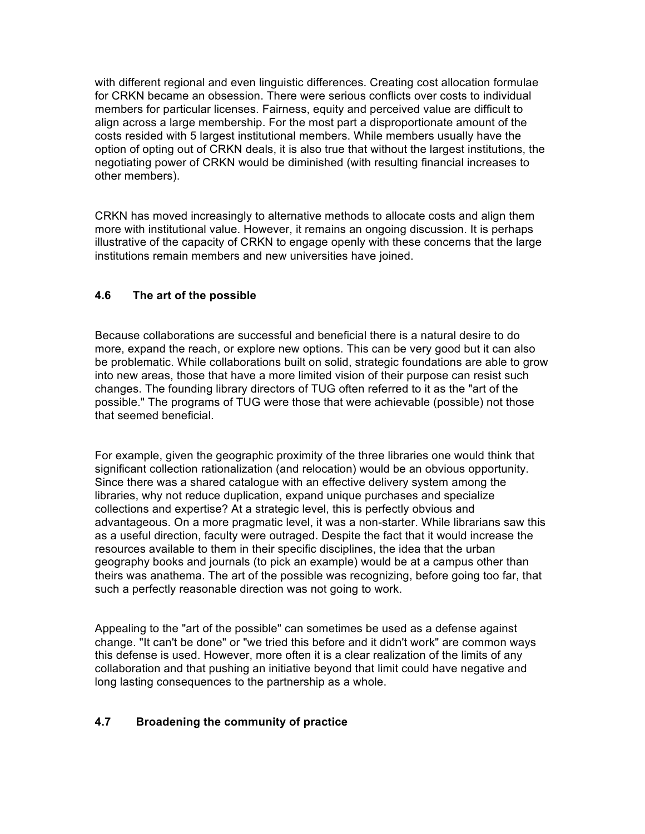with different regional and even linguistic differences. Creating cost allocation formulae for CRKN became an obsession. There were serious conflicts over costs to individual members for particular licenses. Fairness, equity and perceived value are difficult to align across a large membership. For the most part a disproportionate amount of the costs resided with 5 largest institutional members. While members usually have the option of opting out of CRKN deals, it is also true that without the largest institutions, the negotiating power of CRKN would be diminished (with resulting financial increases to other members).

CRKN has moved increasingly to alternative methods to allocate costs and align them more with institutional value. However, it remains an ongoing discussion. It is perhaps illustrative of the capacity of CRKN to engage openly with these concerns that the large institutions remain members and new universities have joined.

# **4.6 The art of the possible**

Because collaborations are successful and beneficial there is a natural desire to do more, expand the reach, or explore new options. This can be very good but it can also be problematic. While collaborations built on solid, strategic foundations are able to grow into new areas, those that have a more limited vision of their purpose can resist such changes. The founding library directors of TUG often referred to it as the "art of the possible." The programs of TUG were those that were achievable (possible) not those that seemed beneficial.

For example, given the geographic proximity of the three libraries one would think that significant collection rationalization (and relocation) would be an obvious opportunity. Since there was a shared catalogue with an effective delivery system among the libraries, why not reduce duplication, expand unique purchases and specialize collections and expertise? At a strategic level, this is perfectly obvious and advantageous. On a more pragmatic level, it was a non-starter. While librarians saw this as a useful direction, faculty were outraged. Despite the fact that it would increase the resources available to them in their specific disciplines, the idea that the urban geography books and journals (to pick an example) would be at a campus other than theirs was anathema. The art of the possible was recognizing, before going too far, that such a perfectly reasonable direction was not going to work.

Appealing to the "art of the possible" can sometimes be used as a defense against change. "It can't be done" or "we tried this before and it didn't work" are common ways this defense is used. However, more often it is a clear realization of the limits of any collaboration and that pushing an initiative beyond that limit could have negative and long lasting consequences to the partnership as a whole.

# **4.7 Broadening the community of practice**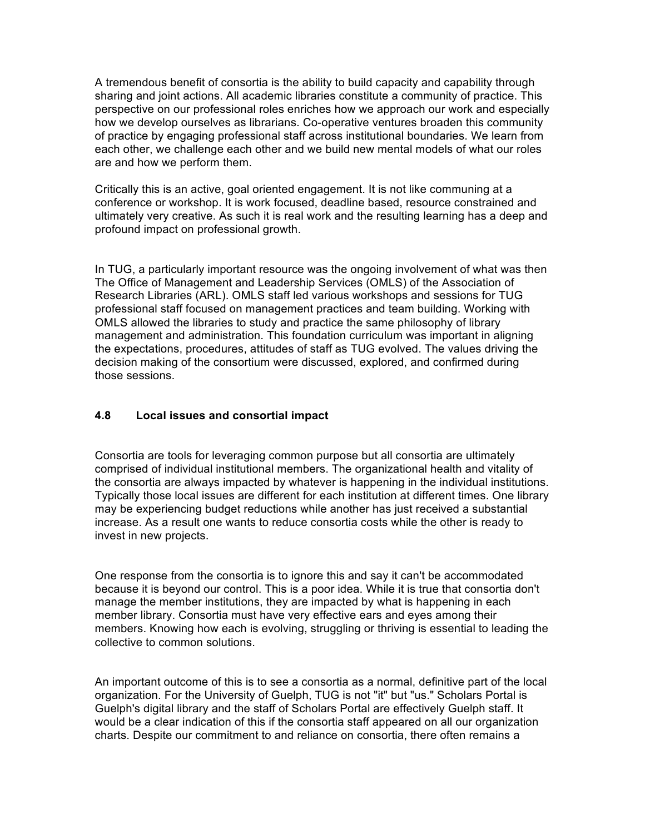A tremendous benefit of consortia is the ability to build capacity and capability through sharing and joint actions. All academic libraries constitute a community of practice. This perspective on our professional roles enriches how we approach our work and especially how we develop ourselves as librarians. Co-operative ventures broaden this community of practice by engaging professional staff across institutional boundaries. We learn from each other, we challenge each other and we build new mental models of what our roles are and how we perform them.

Critically this is an active, goal oriented engagement. It is not like communing at a conference or workshop. It is work focused, deadline based, resource constrained and ultimately very creative. As such it is real work and the resulting learning has a deep and profound impact on professional growth.

In TUG, a particularly important resource was the ongoing involvement of what was then The Office of Management and Leadership Services (OMLS) of the Association of Research Libraries (ARL). OMLS staff led various workshops and sessions for TUG professional staff focused on management practices and team building. Working with OMLS allowed the libraries to study and practice the same philosophy of library management and administration. This foundation curriculum was important in aligning the expectations, procedures, attitudes of staff as TUG evolved. The values driving the decision making of the consortium were discussed, explored, and confirmed during those sessions.

# **4.8 Local issues and consortial impact**

Consortia are tools for leveraging common purpose but all consortia are ultimately comprised of individual institutional members. The organizational health and vitality of the consortia are always impacted by whatever is happening in the individual institutions. Typically those local issues are different for each institution at different times. One library may be experiencing budget reductions while another has just received a substantial increase. As a result one wants to reduce consortia costs while the other is ready to invest in new projects.

One response from the consortia is to ignore this and say it can't be accommodated because it is beyond our control. This is a poor idea. While it is true that consortia don't manage the member institutions, they are impacted by what is happening in each member library. Consortia must have very effective ears and eyes among their members. Knowing how each is evolving, struggling or thriving is essential to leading the collective to common solutions.

An important outcome of this is to see a consortia as a normal, definitive part of the local organization. For the University of Guelph, TUG is not "it" but "us." Scholars Portal is Guelph's digital library and the staff of Scholars Portal are effectively Guelph staff. It would be a clear indication of this if the consortia staff appeared on all our organization charts. Despite our commitment to and reliance on consortia, there often remains a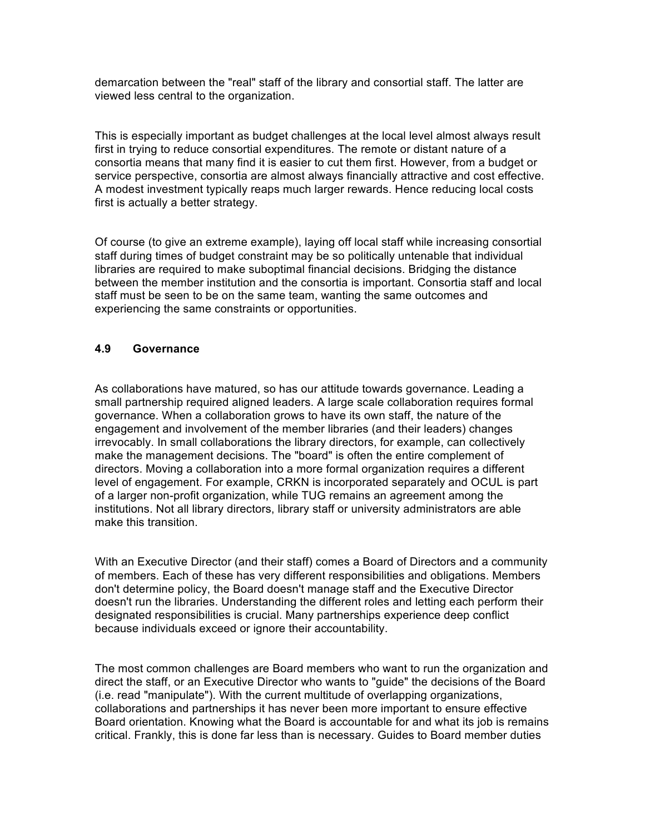demarcation between the "real" staff of the library and consortial staff. The latter are viewed less central to the organization.

This is especially important as budget challenges at the local level almost always result first in trying to reduce consortial expenditures. The remote or distant nature of a consortia means that many find it is easier to cut them first. However, from a budget or service perspective, consortia are almost always financially attractive and cost effective. A modest investment typically reaps much larger rewards. Hence reducing local costs first is actually a better strategy.

Of course (to give an extreme example), laying off local staff while increasing consortial staff during times of budget constraint may be so politically untenable that individual libraries are required to make suboptimal financial decisions. Bridging the distance between the member institution and the consortia is important. Consortia staff and local staff must be seen to be on the same team, wanting the same outcomes and experiencing the same constraints or opportunities.

#### **4.9 Governance**

As collaborations have matured, so has our attitude towards governance. Leading a small partnership required aligned leaders. A large scale collaboration requires formal governance. When a collaboration grows to have its own staff, the nature of the engagement and involvement of the member libraries (and their leaders) changes irrevocably. In small collaborations the library directors, for example, can collectively make the management decisions. The "board" is often the entire complement of directors. Moving a collaboration into a more formal organization requires a different level of engagement. For example, CRKN is incorporated separately and OCUL is part of a larger non-profit organization, while TUG remains an agreement among the institutions. Not all library directors, library staff or university administrators are able make this transition.

With an Executive Director (and their staff) comes a Board of Directors and a community of members. Each of these has very different responsibilities and obligations. Members don't determine policy, the Board doesn't manage staff and the Executive Director doesn't run the libraries. Understanding the different roles and letting each perform their designated responsibilities is crucial. Many partnerships experience deep conflict because individuals exceed or ignore their accountability.

The most common challenges are Board members who want to run the organization and direct the staff, or an Executive Director who wants to "guide" the decisions of the Board (i.e. read "manipulate"). With the current multitude of overlapping organizations, collaborations and partnerships it has never been more important to ensure effective Board orientation. Knowing what the Board is accountable for and what its job is remains critical. Frankly, this is done far less than is necessary. Guides to Board member duties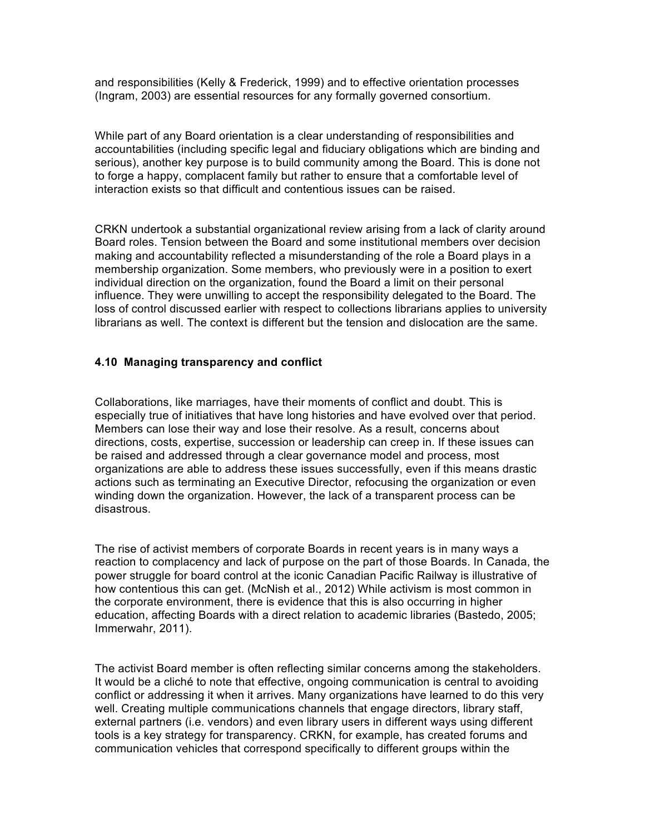and responsibilities (Kelly & Frederick, 1999) and to effective orientation processes (Ingram, 2003) are essential resources for any formally governed consortium.

While part of any Board orientation is a clear understanding of responsibilities and accountabilities (including specific legal and fiduciary obligations which are binding and serious), another key purpose is to build community among the Board. This is done not to forge a happy, complacent family but rather to ensure that a comfortable level of interaction exists so that difficult and contentious issues can be raised.

CRKN undertook a substantial organizational review arising from a lack of clarity around Board roles. Tension between the Board and some institutional members over decision making and accountability reflected a misunderstanding of the role a Board plays in a membership organization. Some members, who previously were in a position to exert individual direction on the organization, found the Board a limit on their personal influence. They were unwilling to accept the responsibility delegated to the Board. The loss of control discussed earlier with respect to collections librarians applies to university librarians as well. The context is different but the tension and dislocation are the same.

#### **4.10 Managing transparency and conflict**

Collaborations, like marriages, have their moments of conflict and doubt. This is especially true of initiatives that have long histories and have evolved over that period. Members can lose their way and lose their resolve. As a result, concerns about directions, costs, expertise, succession or leadership can creep in. If these issues can be raised and addressed through a clear governance model and process, most organizations are able to address these issues successfully, even if this means drastic actions such as terminating an Executive Director, refocusing the organization or even winding down the organization. However, the lack of a transparent process can be disastrous.

The rise of activist members of corporate Boards in recent years is in many ways a reaction to complacency and lack of purpose on the part of those Boards. In Canada, the power struggle for board control at the iconic Canadian Pacific Railway is illustrative of how contentious this can get. (McNish et al., 2012) While activism is most common in the corporate environment, there is evidence that this is also occurring in higher education, affecting Boards with a direct relation to academic libraries (Bastedo, 2005; Immerwahr, 2011).

The activist Board member is often reflecting similar concerns among the stakeholders. It would be a cliché to note that effective, ongoing communication is central to avoiding conflict or addressing it when it arrives. Many organizations have learned to do this very well. Creating multiple communications channels that engage directors, library staff, external partners (i.e. vendors) and even library users in different ways using different tools is a key strategy for transparency. CRKN, for example, has created forums and communication vehicles that correspond specifically to different groups within the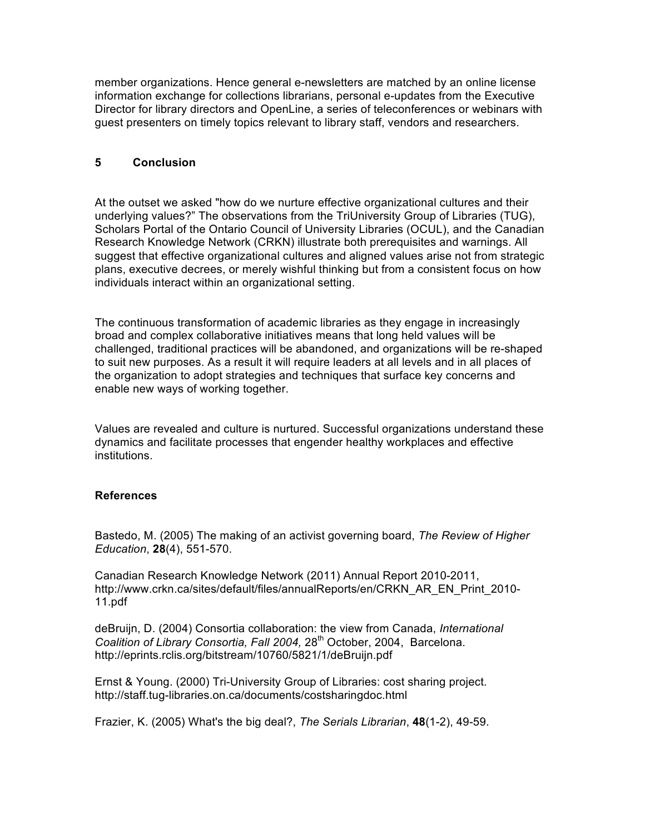member organizations. Hence general e-newsletters are matched by an online license information exchange for collections librarians, personal e-updates from the Executive Director for library directors and OpenLine, a series of teleconferences or webinars with guest presenters on timely topics relevant to library staff, vendors and researchers.

### **5 Conclusion**

At the outset we asked "how do we nurture effective organizational cultures and their underlying values?" The observations from the TriUniversity Group of Libraries (TUG), Scholars Portal of the Ontario Council of University Libraries (OCUL), and the Canadian Research Knowledge Network (CRKN) illustrate both prerequisites and warnings. All suggest that effective organizational cultures and aligned values arise not from strategic plans, executive decrees, or merely wishful thinking but from a consistent focus on how individuals interact within an organizational setting.

The continuous transformation of academic libraries as they engage in increasingly broad and complex collaborative initiatives means that long held values will be challenged, traditional practices will be abandoned, and organizations will be re-shaped to suit new purposes. As a result it will require leaders at all levels and in all places of the organization to adopt strategies and techniques that surface key concerns and enable new ways of working together.

Values are revealed and culture is nurtured. Successful organizations understand these dynamics and facilitate processes that engender healthy workplaces and effective institutions.

#### **References**

Bastedo, M. (2005) The making of an activist governing board, *The Review of Higher Education*, **28**(4), 551-570.

Canadian Research Knowledge Network (2011) Annual Report 2010-2011, http://www.crkn.ca/sites/default/files/annualReports/en/CRKN\_AR\_EN\_Print\_2010- 11.pdf

deBruijn, D. (2004) Consortia collaboration: the view from Canada, *International Coalition of Library Consortia, Fall 2004,* 28th October, 2004, Barcelona. http://eprints.rclis.org/bitstream/10760/5821/1/deBruijn.pdf

Ernst & Young. (2000) Tri-University Group of Libraries: cost sharing project. http://staff.tug-libraries.on.ca/documents/costsharingdoc.html

Frazier, K. (2005) What's the big deal?, *The Serials Librarian*, **48**(1-2), 49-59.